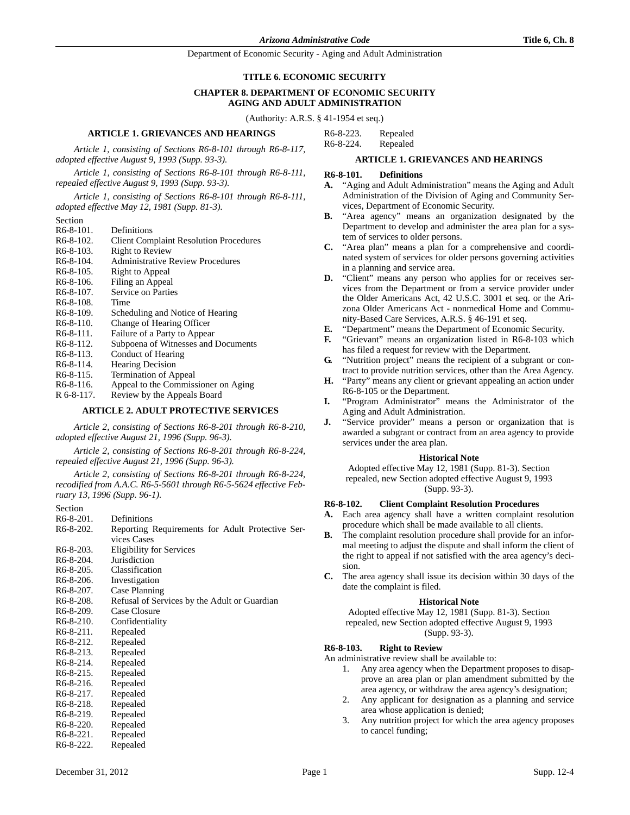#### **TITLE 6. ECONOMIC SECURITY**

### **CHAPTER 8. DEPARTMENT OF ECONOMIC SECURITY AGING AND ADULT ADMINISTRATION**

(Authority: A.R.S. § 41-1954 et seq.)

#### **ARTICLE 1. GRIEVANCES AND HEARINGS**

*Article 1, consisting of Sections R6-8-101 through R6-8-117, adopted effective August 9, 1993 (Supp. 93-3).*

*Article 1, consisting of Sections R6-8-101 through R6-8-111, repealed effective August 9, 1993 (Supp. 93-3).*

*Article 1, consisting of Sections R6-8-101 through R6-8-111, adopted effective May 12, 1981 (Supp. 81-3).*

Section

Section

| $R6-8-101$ .           | Definitions                                   |
|------------------------|-----------------------------------------------|
| $R6-8-102.$            | <b>Client Complaint Resolution Procedures</b> |
| $R6-8-103.$            | <b>Right to Review</b>                        |
| R <sub>6</sub> -8-104. | Administrative Review Procedures              |
| $R6-8-105.$            | Right to Appeal                               |
| R <sub>6</sub> -8-106. | Filing an Appeal                              |
| $R6-8-107$ .           | Service on Parties                            |
| $R6-8-108.$            | Time                                          |
| $R6-8-109.$            | Scheduling and Notice of Hearing              |
| $R6-8-110.$            | Change of Hearing Officer                     |
| $R6-8-111$ .           | Failure of a Party to Appear                  |
| $R6-8-112.$            | Subpoena of Witnesses and Documents           |
| $R6-8-113.$            | Conduct of Hearing                            |
| R6-8-114.              | <b>Hearing Decision</b>                       |
| $R6-8-115.$            | Termination of Appeal                         |
| R6-8-116.              | Appeal to the Commissioner on Aging           |
| R 6-8-117.             | Review by the Appeals Board                   |
|                        |                                               |

#### **ARTICLE 2. ADULT PROTECTIVE SERVICES**

*Article 2, consisting of Sections R6-8-201 through R6-8-210, adopted effective August 21, 1996 (Supp. 96-3).*

*Article 2, consisting of Sections R6-8-201 through R6-8-224, repealed effective August 21, 1996 (Supp. 96-3).*

*Article 2, consisting of Sections R6-8-201 through R6-8-224, recodified from A.A.C. R6-5-5601 through R6-5-5624 effective February 13, 1996 (Supp. 96-1).*

| $R6-8-201.$            | Definitions                                      |
|------------------------|--------------------------------------------------|
| R <sub>6</sub> -8-202. | Reporting Requirements for Adult Protective Ser- |
|                        | vices Cases                                      |
| R <sub>6</sub> -8-203. | <b>Eligibility for Services</b>                  |
| R <sub>6</sub> -8-204. | Jurisdiction                                     |
| R6-8-205.              | Classification                                   |
| R <sub>6</sub> -8-206. | Investigation                                    |
| R6-8-207.              | Case Planning                                    |
| R6-8-208.              | Refusal of Services by the Adult or Guardian     |
| R6-8-209.              | Case Closure                                     |
| R6-8-210.              | Confidentiality                                  |
| R <sub>6</sub> -8-211. | Repealed                                         |
| R <sub>6</sub> -8-212. | Repealed                                         |
| R <sub>6</sub> -8-213. | Repealed                                         |
| R <sub>6</sub> -8-214. | Repealed                                         |
| $R6-8-215.$            | Repealed                                         |
| R <sub>6</sub> -8-216. | Repealed                                         |
| R <sub>6</sub> -8-217. | Repealed                                         |
| R <sub>6</sub> -8-218. | Repealed                                         |
| R <sub>6</sub> -8-219. | Repealed                                         |
| R6-8-220.              | Repealed                                         |
| R <sub>6</sub> -8-221. | Repealed                                         |
| R <sub>6</sub> -8-222. | Repealed                                         |
|                        |                                                  |

| $R6-8-223$ .           | Repealed |
|------------------------|----------|
| R <sub>6</sub> -8-224. | Repealed |

#### **ARTICLE 1. GRIEVANCES AND HEARINGS**

#### **R6-8-101. Definitions**

- **A.** "Aging and Adult Administration" means the Aging and Adult Administration of the Division of Aging and Community Services, Department of Economic Security.
- **B.** "Area agency" means an organization designated by the Department to develop and administer the area plan for a system of services to older persons.
- **C.** "Area plan" means a plan for a comprehensive and coordinated system of services for older persons governing activities in a planning and service area.
- **D.** "Client" means any person who applies for or receives services from the Department or from a service provider under the Older Americans Act, 42 U.S.C. 3001 et seq. or the Arizona Older Americans Act - nonmedical Home and Community-Based Care Services, A.R.S. § 46-191 et seq.
- **E.** "Department" means the Department of Economic Security.
- **F.** "Grievant" means an organization listed in R6-8-103 which has filed a request for review with the Department.
- **G.** "Nutrition project" means the recipient of a subgrant or contract to provide nutrition services, other than the Area Agency.
- **H.** "Party" means any client or grievant appealing an action under R6-8-105 or the Department.
- **I.** "Program Administrator" means the Administrator of the Aging and Adult Administration.
- **J.** "Service provider" means a person or organization that is awarded a subgrant or contract from an area agency to provide services under the area plan.

#### **Historical Note**

Adopted effective May 12, 1981 (Supp. 81-3). Section repealed, new Section adopted effective August 9, 1993 (Supp. 93-3).

### **R6-8-102. Client Complaint Resolution Procedures**

- **A.** Each area agency shall have a written complaint resolution procedure which shall be made available to all clients.
- **B.** The complaint resolution procedure shall provide for an informal meeting to adjust the dispute and shall inform the client of the right to appeal if not satisfied with the area agency's decision.
- **C.** The area agency shall issue its decision within 30 days of the date the complaint is filed.

#### **Historical Note**

Adopted effective May 12, 1981 (Supp. 81-3). Section repealed, new Section adopted effective August 9, 1993 (Supp. 93-3).

#### **R6-8-103. Right to Review**

An administrative review shall be available to:

- 1. Any area agency when the Department proposes to disapprove an area plan or plan amendment submitted by the area agency, or withdraw the area agency's designation;
- 2. Any applicant for designation as a planning and service area whose application is denied;
- 3. Any nutrition project for which the area agency proposes to cancel funding;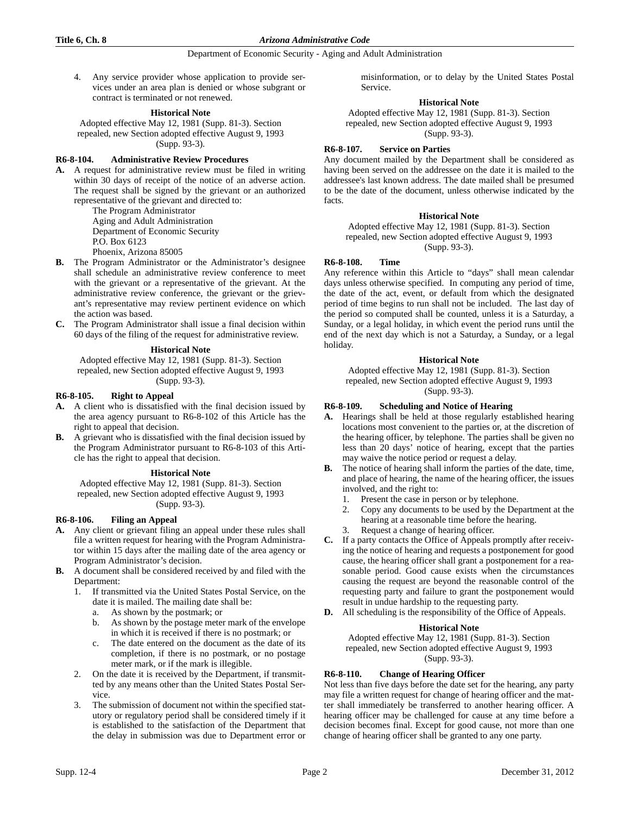4. Any service provider whose application to provide services under an area plan is denied or whose subgrant or contract is terminated or not renewed.

### **Historical Note**

Adopted effective May 12, 1981 (Supp. 81-3). Section repealed, new Section adopted effective August 9, 1993 (Supp. 93-3).

#### **R6-8-104. Administrative Review Procedures**

**A.** A request for administrative review must be filed in writing within 30 days of receipt of the notice of an adverse action. The request shall be signed by the grievant or an authorized representative of the grievant and directed to:

The Program Administrator Aging and Adult Administration Department of Economic Security P.O. Box 6123

Phoenix, Arizona 85005

- **B.** The Program Administrator or the Administrator's designee shall schedule an administrative review conference to meet with the grievant or a representative of the grievant. At the administrative review conference, the grievant or the grievant's representative may review pertinent evidence on which the action was based.
- **C.** The Program Administrator shall issue a final decision within 60 days of the filing of the request for administrative review.

#### **Historical Note**

Adopted effective May 12, 1981 (Supp. 81-3). Section repealed, new Section adopted effective August 9, 1993 (Supp. 93-3).

#### **R6-8-105. Right to Appeal**

- **A.** A client who is dissatisfied with the final decision issued by the area agency pursuant to R6-8-102 of this Article has the right to appeal that decision.
- **B.** A grievant who is dissatisfied with the final decision issued by the Program Administrator pursuant to R6-8-103 of this Article has the right to appeal that decision.

#### **Historical Note**

Adopted effective May 12, 1981 (Supp. 81-3). Section repealed, new Section adopted effective August 9, 1993 (Supp. 93-3).

#### **R6-8-106. Filing an Appeal**

- **A.** Any client or grievant filing an appeal under these rules shall file a written request for hearing with the Program Administrator within 15 days after the mailing date of the area agency or Program Administrator's decision.
- **B.** A document shall be considered received by and filed with the Department:
	- If transmitted via the United States Postal Service, on the date it is mailed. The mailing date shall be:
		- a. As shown by the postmark; or
		- b. As shown by the postage meter mark of the envelope in which it is received if there is no postmark; or
		- c. The date entered on the document as the date of its completion, if there is no postmark, or no postage meter mark, or if the mark is illegible.
	- 2. On the date it is received by the Department, if transmitted by any means other than the United States Postal Service.
	- 3. The submission of document not within the specified statutory or regulatory period shall be considered timely if it is established to the satisfaction of the Department that the delay in submission was due to Department error or

misinformation, or to delay by the United States Postal Service.

#### **Historical Note**

Adopted effective May 12, 1981 (Supp. 81-3). Section repealed, new Section adopted effective August 9, 1993 (Supp. 93-3).

### **R6-8-107. Service on Parties**

Any document mailed by the Department shall be considered as having been served on the addressee on the date it is mailed to the addressee's last known address. The date mailed shall be presumed to be the date of the document, unless otherwise indicated by the facts.

### **Historical Note**

Adopted effective May 12, 1981 (Supp. 81-3). Section repealed, new Section adopted effective August 9, 1993 (Supp. 93-3).

#### **R6-8-108. Time**

Any reference within this Article to "days" shall mean calendar days unless otherwise specified. In computing any period of time, the date of the act, event, or default from which the designated period of time begins to run shall not be included. The last day of the period so computed shall be counted, unless it is a Saturday, a Sunday, or a legal holiday, in which event the period runs until the end of the next day which is not a Saturday, a Sunday, or a legal holiday.

#### **Historical Note**

Adopted effective May 12, 1981 (Supp. 81-3). Section repealed, new Section adopted effective August 9, 1993 (Supp. 93-3).

#### **R6-8-109. Scheduling and Notice of Hearing**

- **A.** Hearings shall be held at those regularly established hearing locations most convenient to the parties or, at the discretion of the hearing officer, by telephone. The parties shall be given no less than 20 days' notice of hearing, except that the parties may waive the notice period or request a delay.
- **B.** The notice of hearing shall inform the parties of the date, time, and place of hearing, the name of the hearing officer, the issues involved, and the right to:
	- 1. Present the case in person or by telephone.
	- 2. Copy any documents to be used by the Department at the hearing at a reasonable time before the hearing.
	- 3. Request a change of hearing officer.
- **C.** If a party contacts the Office of Appeals promptly after receiving the notice of hearing and requests a postponement for good cause, the hearing officer shall grant a postponement for a reasonable period. Good cause exists when the circumstances causing the request are beyond the reasonable control of the requesting party and failure to grant the postponement would result in undue hardship to the requesting party.
- **D.** All scheduling is the responsibility of the Office of Appeals.

#### **Historical Note**

Adopted effective May 12, 1981 (Supp. 81-3). Section repealed, new Section adopted effective August 9, 1993 (Supp. 93-3).

# **R6-8-110. Change of Hearing Officer**

Not less than five days before the date set for the hearing, any party may file a written request for change of hearing officer and the matter shall immediately be transferred to another hearing officer. A hearing officer may be challenged for cause at any time before a decision becomes final. Except for good cause, not more than one change of hearing officer shall be granted to any one party.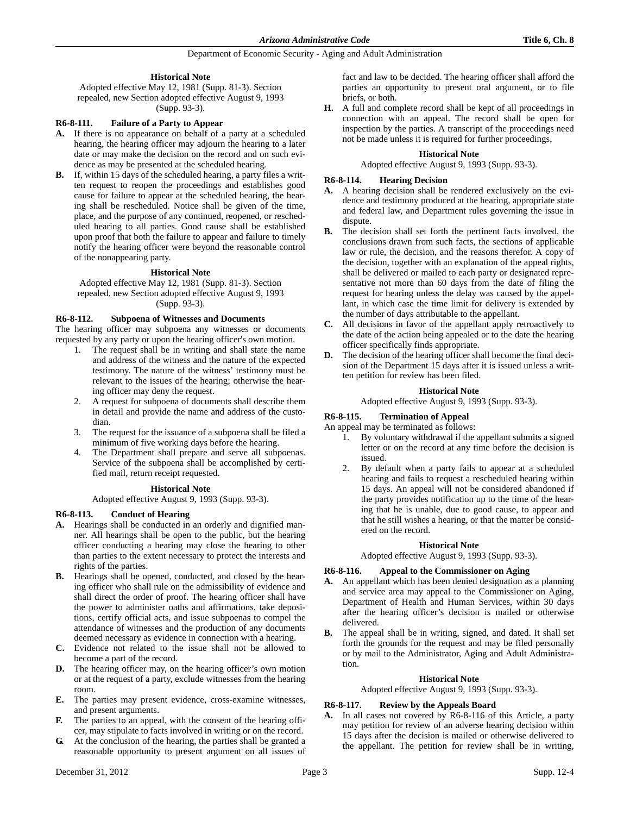### **Historical Note**

Adopted effective May 12, 1981 (Supp. 81-3). Section repealed, new Section adopted effective August 9, 1993 (Supp. 93-3).

### **R6-8-111. Failure of a Party to Appear**

- **A.** If there is no appearance on behalf of a party at a scheduled hearing, the hearing officer may adjourn the hearing to a later date or may make the decision on the record and on such evidence as may be presented at the scheduled hearing.
- **B.** If, within 15 days of the scheduled hearing, a party files a written request to reopen the proceedings and establishes good cause for failure to appear at the scheduled hearing, the hearing shall be rescheduled. Notice shall be given of the time, place, and the purpose of any continued, reopened, or rescheduled hearing to all parties. Good cause shall be established upon proof that both the failure to appear and failure to timely notify the hearing officer were beyond the reasonable control of the nonappearing party.

### **Historical Note**

Adopted effective May 12, 1981 (Supp. 81-3). Section repealed, new Section adopted effective August 9, 1993 (Supp. 93-3).

# **R6-8-112. Subpoena of Witnesses and Documents**

The hearing officer may subpoena any witnesses or documents requested by any party or upon the hearing officer's own motion.

- 1. The request shall be in writing and shall state the name and address of the witness and the nature of the expected testimony. The nature of the witness' testimony must be relevant to the issues of the hearing; otherwise the hearing officer may deny the request.
- 2. A request for subpoena of documents shall describe them in detail and provide the name and address of the custodian.
- 3. The request for the issuance of a subpoena shall be filed a minimum of five working days before the hearing.
- The Department shall prepare and serve all subpoenas. Service of the subpoena shall be accomplished by certified mail, return receipt requested.

### **Historical Note**

Adopted effective August 9, 1993 (Supp. 93-3).

## **R6-8-113. Conduct of Hearing**

- **A.** Hearings shall be conducted in an orderly and dignified manner. All hearings shall be open to the public, but the hearing officer conducting a hearing may close the hearing to other than parties to the extent necessary to protect the interests and rights of the parties.
- **B.** Hearings shall be opened, conducted, and closed by the hearing officer who shall rule on the admissibility of evidence and shall direct the order of proof. The hearing officer shall have the power to administer oaths and affirmations, take depositions, certify official acts, and issue subpoenas to compel the attendance of witnesses and the production of any documents deemed necessary as evidence in connection with a hearing.
- **C.** Evidence not related to the issue shall not be allowed to become a part of the record.
- **D.** The hearing officer may, on the hearing officer's own motion or at the request of a party, exclude witnesses from the hearing room.
- **E.** The parties may present evidence, cross-examine witnesses, and present arguments.
- **F.** The parties to an appeal, with the consent of the hearing officer, may stipulate to facts involved in writing or on the record.
- **G.** At the conclusion of the hearing, the parties shall be granted a reasonable opportunity to present argument on all issues of

fact and law to be decided. The hearing officer shall afford the parties an opportunity to present oral argument, or to file briefs, or both.

**H.** A full and complete record shall be kept of all proceedings in connection with an appeal. The record shall be open for inspection by the parties. A transcript of the proceedings need not be made unless it is required for further proceedings,

### **Historical Note**

Adopted effective August 9, 1993 (Supp. 93-3).

### **R6-8-114. Hearing Decision**

- **A.** A hearing decision shall be rendered exclusively on the evidence and testimony produced at the hearing, appropriate state and federal law, and Department rules governing the issue in dispute.
- **B.** The decision shall set forth the pertinent facts involved, the conclusions drawn from such facts, the sections of applicable law or rule, the decision, and the reasons therefor. A copy of the decision, together with an explanation of the appeal rights, shall be delivered or mailed to each party or designated representative not more than 60 days from the date of filing the request for hearing unless the delay was caused by the appellant, in which case the time limit for delivery is extended by the number of days attributable to the appellant.
- **C.** All decisions in favor of the appellant apply retroactively to the date of the action being appealed or to the date the hearing officer specifically finds appropriate.
- **D.** The decision of the hearing officer shall become the final decision of the Department 15 days after it is issued unless a written petition for review has been filed.

### **Historical Note**

Adopted effective August 9, 1993 (Supp. 93-3).

## **R6-8-115. Termination of Appeal**

An appeal may be terminated as follows:

- 1. By voluntary withdrawal if the appellant submits a signed letter or on the record at any time before the decision is issued.
- 2. By default when a party fails to appear at a scheduled hearing and fails to request a rescheduled hearing within 15 days. An appeal will not be considered abandoned if the party provides notification up to the time of the hearing that he is unable, due to good cause, to appear and that he still wishes a hearing, or that the matter be considered on the record.

### **Historical Note**

Adopted effective August 9, 1993 (Supp. 93-3).

### **R6-8-116. Appeal to the Commissioner on Aging**

- **A.** An appellant which has been denied designation as a planning and service area may appeal to the Commissioner on Aging, Department of Health and Human Services, within 30 days after the hearing officer's decision is mailed or otherwise delivered.
- **B.** The appeal shall be in writing, signed, and dated. It shall set forth the grounds for the request and may be filed personally or by mail to the Administrator, Aging and Adult Administration.

### **Historical Note**

Adopted effective August 9, 1993 (Supp. 93-3).

## **R6-8-117. Review by the Appeals Board**

**A.** In all cases not covered by R6-8-116 of this Article, a party may petition for review of an adverse hearing decision within 15 days after the decision is mailed or otherwise delivered to the appellant. The petition for review shall be in writing,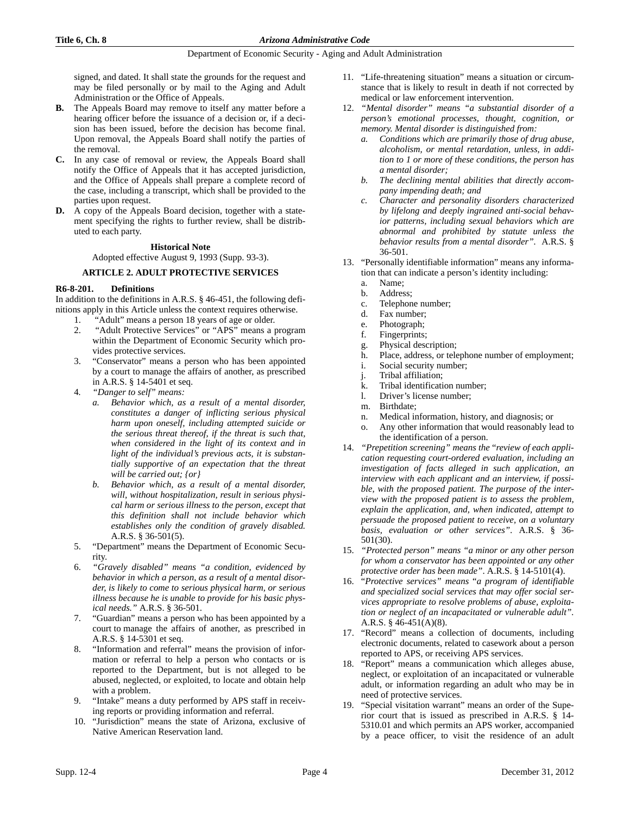signed, and dated. It shall state the grounds for the request and may be filed personally or by mail to the Aging and Adult Administration or the Office of Appeals.

- **B.** The Appeals Board may remove to itself any matter before a hearing officer before the issuance of a decision or, if a decision has been issued, before the decision has become final. Upon removal, the Appeals Board shall notify the parties of the removal.
- **C.** In any case of removal or review, the Appeals Board shall notify the Office of Appeals that it has accepted jurisdiction, and the Office of Appeals shall prepare a complete record of the case, including a transcript, which shall be provided to the parties upon request.
- **D.** A copy of the Appeals Board decision, together with a statement specifying the rights to further review, shall be distributed to each party.

### **Historical Note**

Adopted effective August 9, 1993 (Supp. 93-3).

### **ARTICLE 2. ADULT PROTECTIVE SERVICES**

### **R6-8-201. Definitions**

In addition to the definitions in A.R.S. § 46-451, the following definitions apply in this Article unless the context requires otherwise.

- 1. "Adult" means a person 18 years of age or older.
- 2. "Adult Protective Services" or "APS" means a program within the Department of Economic Security which provides protective services.
- 3. "Conservator" means a person who has been appointed by a court to manage the affairs of another, as prescribed in A.R.S. § 14-5401 et seq.
- 4*. "Danger to self" means:*
	- *a. Behavior which, as a result of a mental disorder, constitutes a danger of inflicting serious physical harm upon oneself, including attempted suicide or the serious threat thereof, if the threat is such that, when considered in the light of its context and in light of the individual's previous acts, it is substantially supportive of an expectation that the threat will be carried out; {or}*
	- *b. Behavior which, as a result of a mental disorder, will, without hospitalization, result in serious physical harm or serious illness to the person, except that this definition shall not include behavior which establishes only the condition of gravely disabled.* A.R.S. § 36-501(5).
- 5. "Department" means the Department of Economic Security.
- 6. *"Gravely disabled" means "a condition, evidenced by behavior in which a person, as a result of a mental disorder, is likely to come to serious physical harm, or serious illness because he is unable to provide for his basic physical needs."* A.R.S. § 36-501.
- 7. "Guardian" means a person who has been appointed by a court to manage the affairs of another, as prescribed in A.R.S. § 14-5301 et seq.
- 8. "Information and referral" means the provision of information or referral to help a person who contacts or is reported to the Department, but is not alleged to be abused, neglected, or exploited, to locate and obtain help with a problem.
- "Intake" means a duty performed by APS staff in receiving reports or providing information and referral.
- 10. "Jurisdiction" means the state of Arizona, exclusive of Native American Reservation land.
- 11. "Life-threatening situation" means a situation or circumstance that is likely to result in death if not corrected by medical or law enforcement intervention.
- 12. *"Mental disorder" means "a substantial disorder of a person's emotional processes, thought, cognition, or memory. Mental disorder is distinguished from:*
	- *a. Conditions which are primarily those of drug abuse, alcoholism, or mental retardation, unless, in addition to 1 or more of these conditions, the person has a mental disorder;*
	- *b. The declining mental abilities that directly accompany impending death; and*
	- *c. Character and personality disorders characterized by lifelong and deeply ingrained anti-social behavior patterns, including sexual behaviors which are abnormal and prohibited by statute unless the behavior results from a mental disorder".* A.R.S. § 36-501.
- 13. "Personally identifiable information" means any information that can indicate a person's identity including:
	- a. Name;
	- b. Address;
	- c. Telephone number;
	- d. Fax number;
	- e. Photograph;
	- f. Fingerprints;
	- g. Physical description;
	- h. Place, address, or telephone number of employment;
	- i. Social security number;
	- j. Tribal affiliation;
	- k. Tribal identification number;
	- l. Driver's license number;
	- m. Birthdate;
	- n. Medical information, history, and diagnosis; or
	- o. Any other information that would reasonably lead to the identification of a person.
- 14. *"Prepetition screening" means the* "*review of each application requesting court-ordered evaluation, including an investigation of facts alleged in such application, an interview with each applicant and an interview, if possible, with the proposed patient. The purpose of the interview with the proposed patient is to assess the problem, explain the application, and, when indicated, attempt to persuade the proposed patient to receive, on a voluntary basis, evaluation or other services".* A.R.S. § 36- 501(30).
- 15. *"Protected person" means "a minor or any other person for whom a conservator has been appointed or any other protective order has been made"*. A.R.S. § 14-5101(4).
- 16. "*Protective services" means* "*a program of identifiable and specialized social services that may offer social services appropriate to resolve problems of abuse, exploitation or neglect of an incapacitated or vulnerable adult".* A.R.S. § 46-451(A)(8).
- 17. "Record" means a collection of documents, including electronic documents, related to casework about a person reported to APS, or receiving APS services.
- 18. "Report" means a communication which alleges abuse, neglect, or exploitation of an incapacitated or vulnerable adult, or information regarding an adult who may be in need of protective services.
- 19. "Special visitation warrant" means an order of the Superior court that is issued as prescribed in A.R.S. § 14- 5310.01 and which permits an APS worker, accompanied by a peace officer, to visit the residence of an adult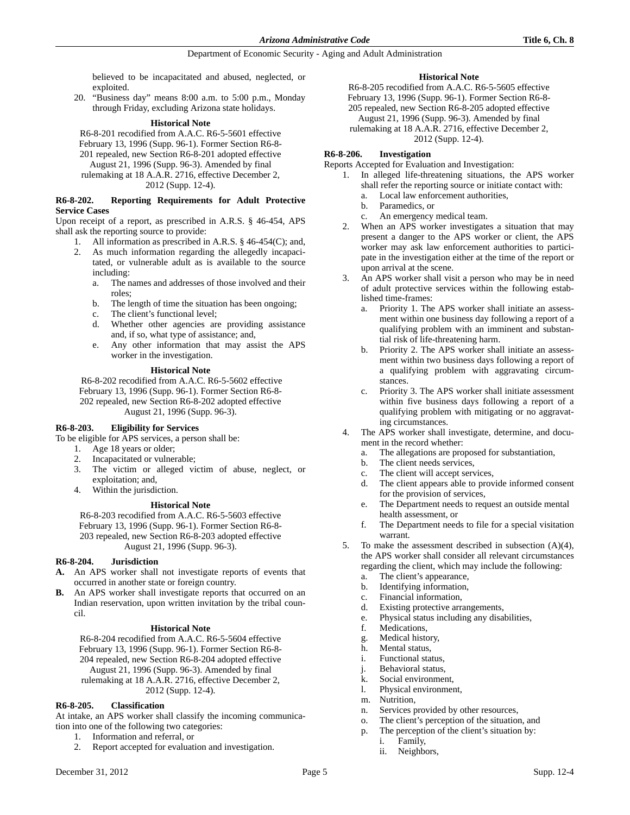believed to be incapacitated and abused, neglected, or exploited.

20. "Business day" means 8:00 a.m. to 5:00 p.m., Monday through Friday, excluding Arizona state holidays.

### **Historical Note**

R6-8-201 recodified from A.A.C. R6-5-5601 effective February 13, 1996 (Supp. 96-1). Former Section R6-8- 201 repealed, new Section R6-8-201 adopted effective August 21, 1996 (Supp. 96-3). Amended by final rulemaking at 18 A.A.R. 2716, effective December 2, 2012 (Supp. 12-4).

#### **R6-8-202. Reporting Requirements for Adult Protective Service Cases**

Upon receipt of a report, as prescribed in A.R.S. § 46-454, APS shall ask the reporting source to provide:

- 1. All information as prescribed in A.R.S. § 46-454(C); and,
- 2. As much information regarding the allegedly incapacitated, or vulnerable adult as is available to the source including:
	- a. The names and addresses of those involved and their roles;
	- b. The length of time the situation has been ongoing;
	- c. The client's functional level;
	- d. Whether other agencies are providing assistance and, if so, what type of assistance; and,
	- e. Any other information that may assist the APS worker in the investigation.

### **Historical Note**

 R6-8-202 recodified from A.A.C. R6-5-5602 effective February 13, 1996 (Supp. 96-1). Former Section R6-8- 202 repealed, new Section R6-8-202 adopted effective August 21, 1996 (Supp. 96-3).

### **R6-8-203. Eligibility for Services**

To be eligible for APS services, a person shall be:

- 1. Age 18 years or older;
- 2. Incapacitated or vulnerable;
- 3. The victim or alleged victim of abuse, neglect, or exploitation; and,
- 4. Within the jurisdiction.

### **Historical Note**

R6-8-203 recodified from A.A.C. R6-5-5603 effective February 13, 1996 (Supp. 96-1). Former Section R6-8- 203 repealed, new Section R6-8-203 adopted effective August 21, 1996 (Supp. 96-3).

## **R6-8-204. Jurisdiction**

- **A.** An APS worker shall not investigate reports of events that occurred in another state or foreign country.
- **B.** An APS worker shall investigate reports that occurred on an Indian reservation, upon written invitation by the tribal council.

### **Historical Note**

R6-8-204 recodified from A.A.C. R6-5-5604 effective February 13, 1996 (Supp. 96-1). Former Section R6-8- 204 repealed, new Section R6-8-204 adopted effective August 21, 1996 (Supp. 96-3). Amended by final rulemaking at 18 A.A.R. 2716, effective December 2, 2012 (Supp. 12-4).

## **R6-8-205. Classification**

At intake, an APS worker shall classify the incoming communication into one of the following two categories:

- 1. Information and referral, or
- 2. Report accepted for evaluation and investigation.

## **Historical Note**

R6-8-205 recodified from A.A.C. R6-5-5605 effective February 13, 1996 (Supp. 96-1). Former Section R6-8- 205 repealed, new Section R6-8-205 adopted effective August 21, 1996 (Supp. 96-3). Amended by final rulemaking at 18 A.A.R. 2716, effective December 2, 2012 (Supp. 12-4).

### **R6-8-206. Investigation**

Reports Accepted for Evaluation and Investigation:

- 1. In alleged life-threatening situations, the APS worker shall refer the reporting source or initiate contact with: a. Local law enforcement authorities,
	- b. Paramedics, or
	- An emergency medical team.
- 2. When an APS worker investigates a situation that may present a danger to the APS worker or client, the APS worker may ask law enforcement authorities to participate in the investigation either at the time of the report or upon arrival at the scene.
- 3. An APS worker shall visit a person who may be in need of adult protective services within the following established time-frames:
	- a. Priority 1. The APS worker shall initiate an assessment within one business day following a report of a qualifying problem with an imminent and substantial risk of life-threatening harm.
	- b. Priority 2. The APS worker shall initiate an assessment within two business days following a report of a qualifying problem with aggravating circumstances.
	- c. Priority 3. The APS worker shall initiate assessment within five business days following a report of a qualifying problem with mitigating or no aggravating circumstances.
- 4. The APS worker shall investigate, determine, and document in the record whether:
	- a. The allegations are proposed for substantiation,
	- b. The client needs services,
	- c. The client will accept services,
	- d. The client appears able to provide informed consent for the provision of services,
	- e. The Department needs to request an outside mental health assessment, or
	- f. The Department needs to file for a special visitation warrant.
- 5. To make the assessment described in subsection (A)(4), the APS worker shall consider all relevant circumstances regarding the client, which may include the following:
	- a. The client's appearance,
	- b. Identifying information,
	- c. Financial information,
	- d. Existing protective arrangements,
	- e. Physical status including any disabilities,
	- f. Medications,
	- g. Medical history,
	- h. Mental status,
	- i. Functional status,
	- j. Behavioral status,
	- k. Social environment,
	- l. Physical environment,
	- m. Nutrition,
	- n. Services provided by other resources,
	- o. The client's perception of the situation, and
	- p. The perception of the client's situation by:
		- i. Family,
		- ii. Neighbors,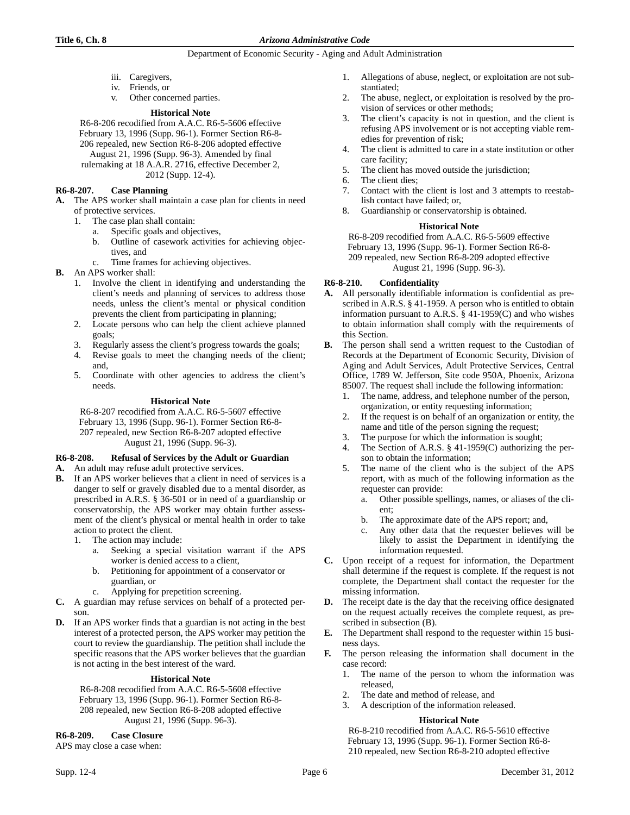- iii. Caregivers,
- iv. Friends, or
- v. Other concerned parties.

# **Historical Note**

R6-8-206 recodified from A.A.C. R6-5-5606 effective February 13, 1996 (Supp. 96-1). Former Section R6-8- 206 repealed, new Section R6-8-206 adopted effective August 21, 1996 (Supp. 96-3). Amended by final rulemaking at 18 A.A.R. 2716, effective December 2,

2012 (Supp. 12-4).

# **R6-8-207. Case Planning**

- **A.** The APS worker shall maintain a case plan for clients in need of protective services.
	- 1. The case plan shall contain:
		- a. Specific goals and objectives,
		- b. Outline of casework activities for achieving objectives, and
		- c. Time frames for achieving objectives.
- **B.** An APS worker shall:
	- 1. Involve the client in identifying and understanding the client's needs and planning of services to address those needs, unless the client's mental or physical condition prevents the client from participating in planning;
	- 2. Locate persons who can help the client achieve planned goals;
	- 3. Regularly assess the client's progress towards the goals;
	- 4. Revise goals to meet the changing needs of the client; and,
	- 5. Coordinate with other agencies to address the client's needs.

## **Historical Note**

R6-8-207 recodified from A.A.C. R6-5-5607 effective February 13, 1996 (Supp. 96-1). Former Section R6-8- 207 repealed, new Section R6-8-207 adopted effective August 21, 1996 (Supp. 96-3).

## **R6-8-208. Refusal of Services by the Adult or Guardian**

- **A.** An adult may refuse adult protective services.
- **B.** If an APS worker believes that a client in need of services is a danger to self or gravely disabled due to a mental disorder, as prescribed in A.R.S. § 36-501 or in need of a guardianship or conservatorship, the APS worker may obtain further assessment of the client's physical or mental health in order to take action to protect the client.
	- The action may include:
		- a. Seeking a special visitation warrant if the APS worker is denied access to a client,
		- b. Petitioning for appointment of a conservator or guardian, or
		- c. Applying for prepetition screening.
- **C.** A guardian may refuse services on behalf of a protected person.
- **D.** If an APS worker finds that a guardian is not acting in the best interest of a protected person, the APS worker may petition the court to review the guardianship. The petition shall include the specific reasons that the APS worker believes that the guardian is not acting in the best interest of the ward.

## **Historical Note**

R6-8-208 recodified from A.A.C. R6-5-5608 effective February 13, 1996 (Supp. 96-1). Former Section R6-8- 208 repealed, new Section R6-8-208 adopted effective August 21, 1996 (Supp. 96-3).

## **R6-8-209. Case Closure**

APS may close a case when:

- 1. Allegations of abuse, neglect, or exploitation are not substantiated;
- 2. The abuse, neglect, or exploitation is resolved by the provision of services or other methods;
- 3. The client's capacity is not in question, and the client is refusing APS involvement or is not accepting viable remedies for prevention of risk;
- 4. The client is admitted to care in a state institution or other care facility;
- 5. The client has moved outside the jurisdiction;
- 6. The client dies;
- 7. Contact with the client is lost and 3 attempts to reestablish contact have failed; or,
- 8. Guardianship or conservatorship is obtained.

## **Historical Note**

R6-8-209 recodified from A.A.C. R6-5-5609 effective February 13, 1996 (Supp. 96-1). Former Section R6-8- 209 repealed, new Section R6-8-209 adopted effective August 21, 1996 (Supp. 96-3).

## **R6-8-210. Confidentiality**

- **A.** All personally identifiable information is confidential as prescribed in A.R.S. § 41-1959. A person who is entitled to obtain information pursuant to A.R.S. § 41-1959(C) and who wishes to obtain information shall comply with the requirements of this Section.
- **B.** The person shall send a written request to the Custodian of Records at the Department of Economic Security, Division of Aging and Adult Services, Adult Protective Services, Central Office, 1789 W. Jefferson, Site code 950A, Phoenix, Arizona 85007. The request shall include the following information:
	- 1. The name, address, and telephone number of the person, organization, or entity requesting information;
	- 2. If the request is on behalf of an organization or entity, the name and title of the person signing the request;
	- 3. The purpose for which the information is sought;
	- 4. The Section of A.R.S. § 41-1959(C) authorizing the person to obtain the information;
	- 5. The name of the client who is the subject of the APS report, with as much of the following information as the requester can provide:
		- a. Other possible spellings, names, or aliases of the client;
		- b. The approximate date of the APS report; and,
		- c. Any other data that the requester believes will be likely to assist the Department in identifying the information requested.
- **C.** Upon receipt of a request for information, the Department shall determine if the request is complete. If the request is not complete, the Department shall contact the requester for the missing information.
- **D.** The receipt date is the day that the receiving office designated on the request actually receives the complete request, as prescribed in subsection (B).
- **E.** The Department shall respond to the requester within 15 business days.
- **F.** The person releasing the information shall document in the case record:
	- 1. The name of the person to whom the information was released,
	- 2. The date and method of release, and
	- 3. A description of the information released.

## **Historical Note**

R6-8-210 recodified from A.A.C. R6-5-5610 effective February 13, 1996 (Supp. 96-1). Former Section R6-8- 210 repealed, new Section R6-8-210 adopted effective